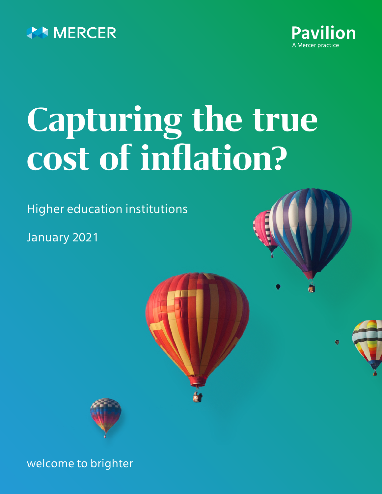



# **Capturing the true cost of inflation?**

Higher education institutions

January 2021





welcome to brighter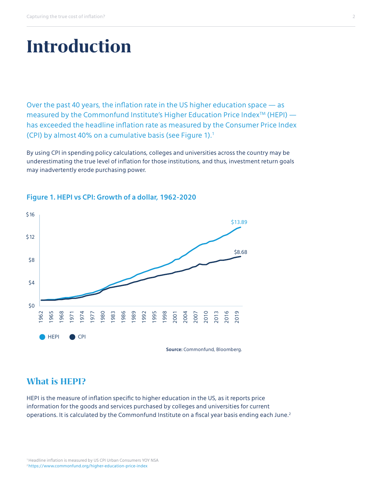## **Introduction**

Over the past 40 years, the inflation rate in the US higher education space — as measured by the Commonfund Institute's Higher Education Price Index<sup>TM</sup> (HEPI)  $$ has exceeded the headline inflation rate as measured by the Consumer Price Index (CPI) by almost 40% on a cumulative basis (see Figure 1). $<sup>1</sup>$ </sup>

By using CPI in spending policy calculations, colleges and universities across the country may be underestimating the true level of inflation for those institutions, and thus, investment return goals may inadvertently erode purchasing power.



### **Figure 1. HEPI vs CPI: Growth of a dollar, 1962-2020**

### **What is HEPI?**

HEPI is the measure of inflation specific to higher education in the US, as it reports price information for the goods and services purchased by colleges and universities for current operations. It is calculated by the Commonfund Institute on a fiscal year basis ending each June.<sup>2</sup>

<sup>1</sup> Headline inflation is measured by US CPI Urban Consumers YOY NSA 2 <https://www.commonfund.org/higher-education-price-index>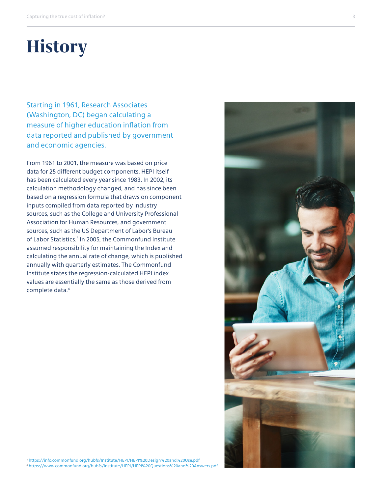# **History**

Starting in 1961, Research Associates (Washington, DC) began calculating a measure of higher education inflation from data reported and published by government and economic agencies.

From 1961 to 2001, the measure was based on price data for 25 different budget components. HEPI itself has been calculated every year since 1983. In 2002, its calculation methodology changed, and has since been based on a regression formula that draws on component inputs compiled from data reported by industry sources, such as the College and University Professional Association for Human Resources, and government sources, such as the US Department of Labor's Bureau of Labor Statistics.<sup>3</sup> In 2005, the Commonfund Institute assumed responsibility for maintaining the Index and calculating the annual rate of change, which is published annually with quarterly estimates. The Commonfund Institute states the regression-calculated HEPI index values are essentially the same as those derived from complete data.4



<sup>3</sup> <https://info.commonfund.org/hubfs/Institute/HEPI/HEPI%20Design%20and%20Use.pdf> 4 <https://www.commonfund.org/hubfs/Institute/HEPI/HEPI%20Questions%20and%20Answers.pdf>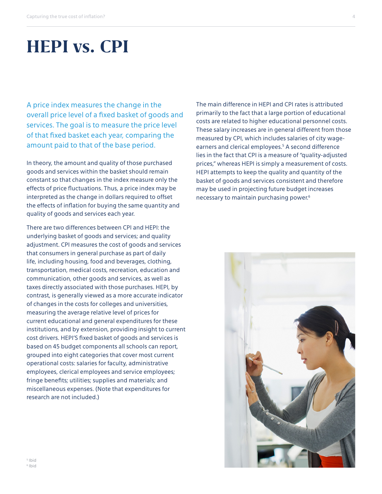### **HEPI vs. CPI**

A price index measures the change in the overall price level of a fixed basket of goods and services. The goal is to measure the price level of that fixed basket each year, comparing the amount paid to that of the base period.

In theory, the amount and quality of those purchased goods and services within the basket should remain constant so that changes in the index measure only the effects of price fluctuations. Thus, a price index may be interpreted as the change in dollars required to offset the effects of inflation for buying the same quantity and quality of goods and services each year.

There are two differences between CPI and HEPI: the underlying basket of goods and services; and quality adjustment. CPI measures the cost of goods and services that consumers in general purchase as part of daily life, including housing, food and beverages, clothing, transportation, medical costs, recreation, education and communication, other goods and services, as well as taxes directly associated with those purchases. HEPI, by contrast, is generally viewed as a more accurate indicator of changes in the costs for colleges and universities, measuring the average relative level of prices for current educational and general expenditures for these institutions, and by extension, providing insight to current cost drivers. HEPI'S fixed basket of goods and services is based on 45 budget components all schools can report, grouped into eight categories that cover most current operational costs: salaries for faculty, administrative employees, clerical employees and service employees; fringe benefits; utilities; supplies and materials; and miscellaneous expenses. (Note that expenditures for research are not included.)

The main difference in HEPI and CPI rates is attributed primarily to the fact that a large portion of educational costs are related to higher educational personnel costs. These salary increases are in general different from those measured by CPI, which includes salaries of city wageearners and clerical employees.5 A second difference lies in the fact that CPI is a measure of "quality-adjusted prices," whereas HEPI is simply a measurement of costs. HEPI attempts to keep the quality and quantity of the basket of goods and services consistent and therefore may be used in projecting future budget increases necessary to maintain purchasing power.6

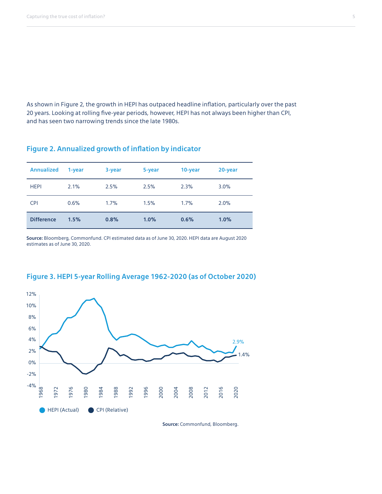As shown in Figure 2, the growth in HEPI has outpaced headline inflation, particularly over the past 20 years. Looking at rolling five-year periods, however, HEPI has not always been higher than CPI, and has seen two narrowing trends since the late 1980s.

### **Figure 2. Annualized growth of inflation by indicator**

| <b>Annualized</b> | 1-year | 3-year | 5-year | 10-year | 20-year |
|-------------------|--------|--------|--------|---------|---------|
| <b>HEPI</b>       | 2.1%   | 2.5%   | 2.5%   | 2.3%    | 3.0%    |
| <b>CPI</b>        | 0.6%   | 1.7%   | 1.5%   | 1.7%    | 2.0%    |
| <b>Difference</b> | 1.5%   | 0.8%   | 1.0%   | 0.6%    | 1.0%    |

**Source:** Bloomberg, Commonfund. CPI estimated data as of June 30, 2020. HEPI data are August 2020 estimates as of June 30, 2020.



### **Figure 3. HEPI 5-year Rolling Average 1962-2020 (as of October 2020)**

**Source:** Commonfund, Bloomberg.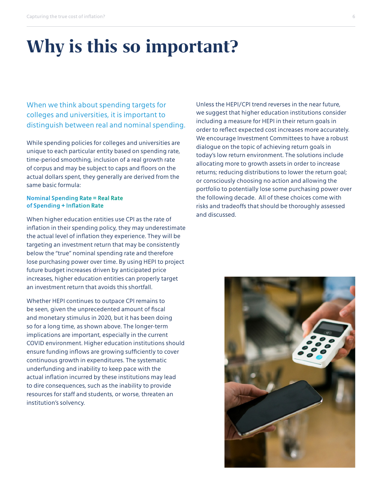# **Why is this so important?**

When we think about spending targets for colleges and universities, it is important to distinguish between real and nominal spending.

While spending policies for colleges and universities are unique to each particular entity based on spending rate, time-period smoothing, inclusion of a real growth rate of corpus and may be subject to caps and floors on the actual dollars spent, they generally are derived from the same basic formula:

### **Nominal Spending Rate = Real Rate of Spending + Inflation Rate**

When higher education entities use CPI as the rate of inflation in their spending policy, they may underestimate the actual level of inflation they experience. They will be targeting an investment return that may be consistently below the "true" nominal spending rate and therefore lose purchasing power over time. By using HEPI to project future budget increases driven by anticipated price increases, higher education entities can properly target an investment return that avoids this shortfall.

Whether HEPI continues to outpace CPI remains to be seen, given the unprecedented amount of fiscal and monetary stimulus in 2020, but it has been doing so for a long time, as shown above. The longer-term implications are important, especially in the current COVID environment. Higher education institutions should ensure funding inflows are growing sufficiently to cover continuous growth in expenditures. The systematic underfunding and inability to keep pace with the actual inflation incurred by these institutions may lead to dire consequences, such as the inability to provide resources for staff and students, or worse, threaten an institution's solvency.

Unless the HEPI/CPI trend reverses in the near future, we suggest that higher education institutions consider including a measure for HEPI in their return goals in order to reflect expected cost increases more accurately. We encourage Investment Committees to have a robust dialogue on the topic of achieving return goals in today's low return environment. The solutions include allocating more to growth assets in order to increase returns; reducing distributions to lower the return goal; or consciously choosing no action and allowing the portfolio to potentially lose some purchasing power over the following decade. All of these choices come with risks and tradeoffs that should be thoroughly assessed and discussed.

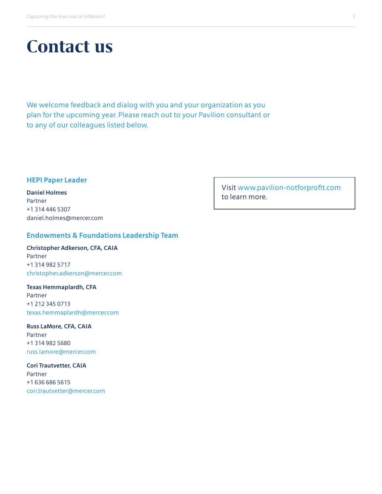## **Contact us**

We welcome feedback and dialog with you and your organization as you plan for the upcoming year. Please reach out to your Pavilion consultant or to any of our colleagues listed below.

### **HEPI Paper Leader**

**Daniel Holmes** Partner +1 314 446 5307 daniel.holmes@mercer.com

### **Endowments & Foundations Leadership Team**

**Christopher Adkerson, CFA, CAIA** Partner +1 314 982 5717 christopher.adkerson@mercer.com

**Texas Hemmaplardh, CFA** Partner +1 212 345 0713 texas.hemmaplardh@mercer.com

**Russ LaMore, CFA, CAIA** Partner +1 314 982 5680 russ.lamore@mercer.com

**Cori Trautvetter, CAIA** Partner +1 636 686 5615 cori.trautvetter@mercer.com Visit [www.pavilion-notforprofit.com](http://www.pavilion-notforprofit.com) to learn more.